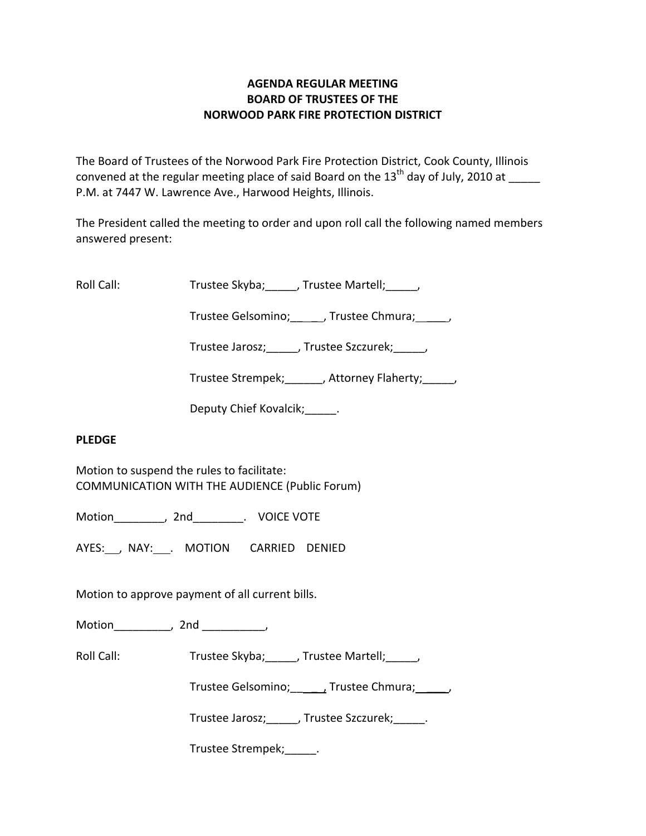## **AGENDA REGULAR MEETING BOARD OF TRUSTEES OF THE NORWOOD PARK FIRE PROTECTION DISTRICT**

The Board of Trustees of the Norwood Park Fire Protection District, Cook County, Illinois convened at the regular meeting place of said Board on the  $13<sup>th</sup>$  day of July, 2010 at P.M. at 7447 W. Lawrence Ave., Harwood Heights, Illinois.

The President called the meeting to order and upon roll call the following named members answered present:

Roll Call: Trustee Skyba; J. Trustee Martell; Trustee Martell;

Trustee Gelsomino; frustee Chmura;  $\qquad$ 

Trustee Jarosz; J. Trustee Szczurek; J.

Trustee Strempek; Trustee Strempek; Trustee Strempek;

Deputy Chief Kovalcik; Fig.

#### **PLEDGE**

Motion to suspend the rules to facilitate: COMMUNICATION WITH THE AUDIENCE (Public Forum)

Motion \_\_\_\_\_\_\_\_, 2nd \_\_\_\_\_\_\_\_. VOICE VOTE

AYES: , NAY: . MOTION CARRIED DENIED

Motion to approve payment of all current bills.

Motion the motion of the motion of the motion of the motion of the motion of the motion of the motion of the m<br>Second motion of the motion of the motion of the motion of the motion of the motion of the motion of the motio<br>

Roll Call: Trustee Skyba; J. Trustee Martell; J.

Trustee Gelsomino; \_\_\_\_\_, Trustee Chmura; \_\_\_\_\_\_,

Trustee Jarosz;\_\_\_\_\_, Trustee Szczurek;\_\_\_\_\_.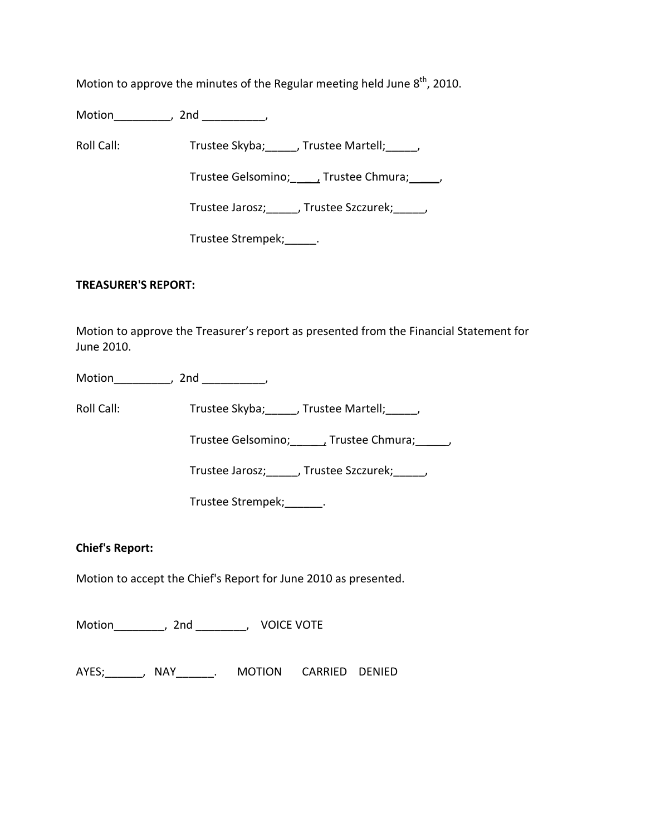Motion to approve the minutes of the Regular meeting held June  $8<sup>th</sup>$ , 2010.

Motion\_\_\_\_\_\_\_\_\_, 2nd \_\_\_\_\_\_\_\_\_\_,

Roll Call: Trustee Skyba; Trustee Martell; Trustee Martell;

Trustee Gelsomino; \_\_\_\_\_\_, Trustee Chmura; \_\_\_\_\_,

Trustee Jarosz;\_\_\_\_\_, Trustee Szczurek;\_\_\_\_\_,

Trustee Strempek; [100]

### **TREASURER'S REPORT:**

Motion to approve the Treasurer's report as presented from the Financial Statement for June 2010.

Motion the contract of the contract of the contract of the contract of the contract of the contract of the contract of the contract of the contract of the contract of the contract of the contract of the contract of the con

Roll Call: Trustee Skyba; \_\_\_\_, Trustee Martell; \_\_\_\_\_,

Trustee Gelsomino; \_\_\_\_\_\_, Trustee Chmura; \_\_\_\_\_,

Trustee Jarosz;\_\_\_\_\_, Trustee Szczurek;\_\_\_\_\_,

Trustee Strempek;\_\_\_\_\_\_.

# **Chief's Report:**

Motion to accept the Chief's Report for June 2010 as presented.

Motion\_\_\_\_\_\_\_\_, 2nd \_\_\_\_\_\_\_\_, VOICE VOTE

AYES;\_\_\_\_\_\_, NAY\_\_\_\_\_\_. MOTION CARRIED DENIED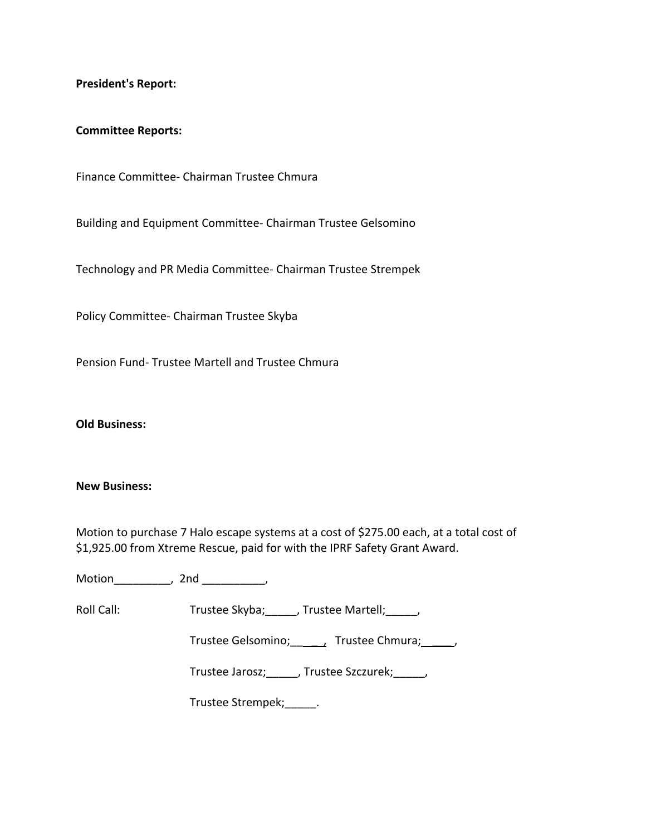**President's Report:**

#### **Committee Reports:**

Finance Committee‐ Chairman Trustee Chmura

Building and Equipment Committee‐ Chairman Trustee Gelsomino

Technology and PR Media Committee‐ Chairman Trustee Strempek

Policy Committee‐ Chairman Trustee Skyba

Pension Fund‐ Trustee Martell and Trustee Chmura

**Old Business:**

#### **New Business:**

Motion to purchase 7 Halo escape systems at a cost of \$275.00 each, at a total cost of \$1,925.00 from Xtreme Rescue, paid for with the IPRF Safety Grant Award.

Motion\_\_\_\_\_\_\_\_\_, 2nd \_\_\_\_\_\_\_\_\_\_,

Roll Call: Trustee Skyba; Trustee Martell; Trustee Martell;

Trustee Gelsomino; \_\_\_\_\_\_, Trustee Chmura; \_\_\_\_\_,

Trustee Jarosz;\_\_\_\_\_, Trustee Szczurek;\_\_\_\_\_,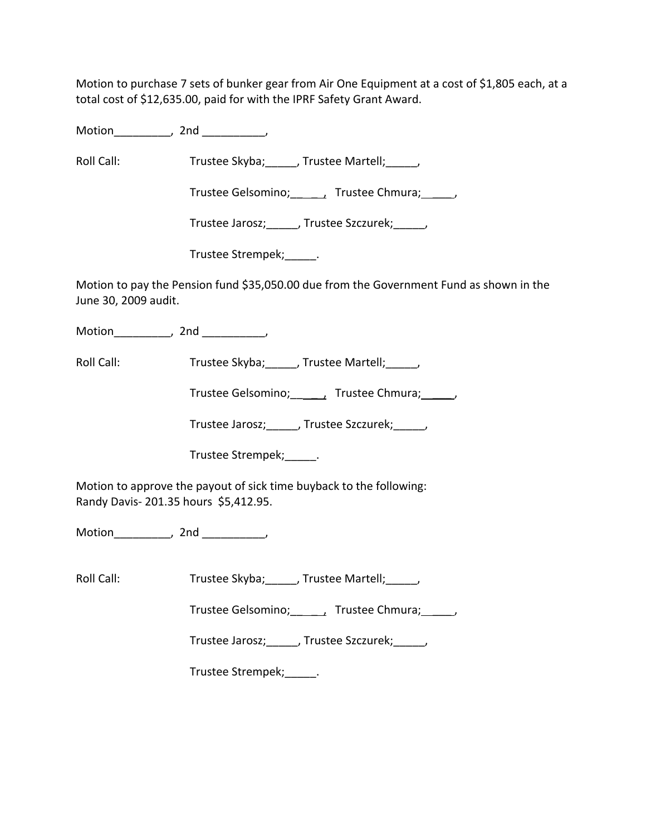Motion to purchase 7 sets of bunker gear from Air One Equipment at a cost of \$1,805 each, at a total cost of \$12,635.00, paid for with the IPRF Safety Grant Award.

Motion\_\_\_\_\_\_\_\_\_, 2nd \_\_\_\_\_\_\_\_\_\_,

Roll Call: Trustee Skyba; J. Trustee Martell; Trustee Martell;

Trustee Gelsomino; \_\_\_\_\_\_, Trustee Chmura; \_\_\_\_\_,

Trustee Jarosz;\_\_\_\_\_, Trustee Szczurek;\_\_\_\_\_,

Trustee Strempek;\_\_\_\_\_.

Motion to pay the Pension fund \$35,050.00 due from the Government Fund as shown in the June 30, 2009 audit.

Motion\_\_\_\_\_\_\_\_\_, 2nd \_\_\_\_\_\_\_\_\_,

Roll Call: Trustee Skyba; \_\_\_\_, Trustee Martell; \_\_\_\_,

Trustee Gelsomino; \_\_\_\_\_\_, Trustee Chmura; \_\_\_\_\_,

Trustee Jarosz; Justee Szczurek; Justee Szczurek;

Trustee Strempek;\_\_\_\_\_.

Motion to approve the payout of sick time buyback to the following: Randy Davis‐ 201.35 hours \$5,412.95.

Motion\_\_\_\_\_\_\_\_\_, 2nd \_\_\_\_\_\_\_\_\_\_,

Roll Call: Trustee Skyba; J. Trustee Martell; J.

Trustee Gelsomino; frustee Chmura;  $\qquad$ ,

Trustee Jarosz;\_\_\_\_\_, Trustee Szczurek;\_\_\_\_\_,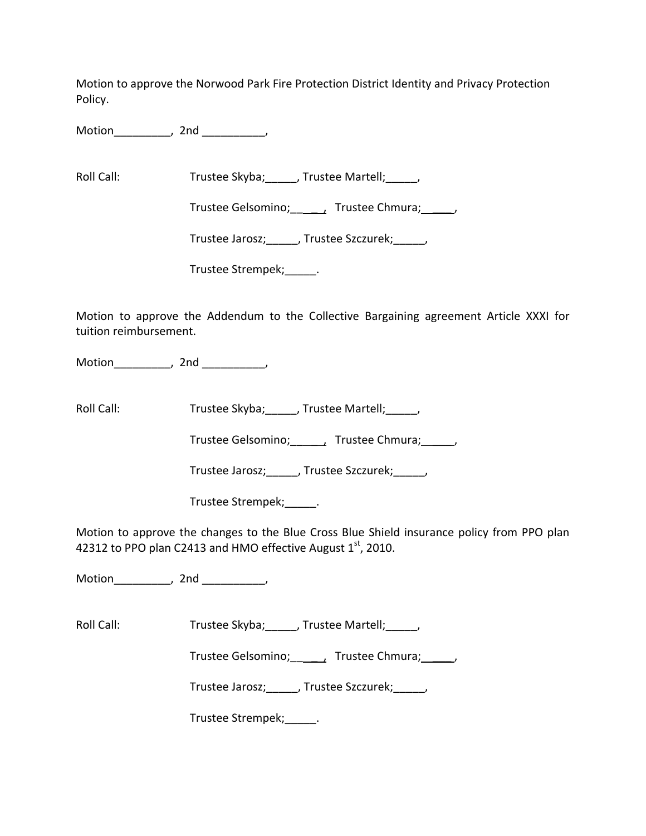Motion to approve the Norwood Park Fire Protection District Identity and Privacy Protection Policy.

Motion\_\_\_\_\_\_\_\_\_, 2nd \_\_\_\_\_\_\_\_\_\_,

Roll Call: Trustee Skyba; Trustee Martell; Trustee Martell;

Trustee Gelsomino; \_\_\_\_\_, Trustee Chmura; \_\_\_\_\_,

Trustee Jarosz; Frustee Szczurek; Frustee Jarosz;

Trustee Strempek;\_\_\_\_\_.

Motion to approve the Addendum to the Collective Bargaining agreement Article XXXI for tuition reimbursement.

Motion\_\_\_\_\_\_\_\_\_, 2nd \_\_\_\_\_\_\_\_\_\_,

Roll Call: Trustee Skyba; Trustee Martell; Trustee Martell;

Trustee Gelsomino; \_\_\_\_\_, Trustee Chmura; \_\_\_\_\_,

Trustee Jarosz;\_\_\_\_\_, Trustee Szczurek;\_\_\_\_\_,

Trustee Strempek;\_\_\_\_\_.

Motion to approve the changes to the Blue Cross Blue Shield insurance policy from PPO plan 42312 to PPO plan C2413 and HMO effective August  $1<sup>st</sup>$ , 2010.

Motion\_\_\_\_\_\_\_\_\_, 2nd \_\_\_\_\_\_\_\_\_\_,

Roll Call: Trustee Skyba; J. Trustee Martell; Trustee Martell;

Trustee Gelsomino; \_\_\_\_, Trustee Chmura; \_\_\_\_\_,

Trustee Jarosz; J. Trustee Szczurek; J.